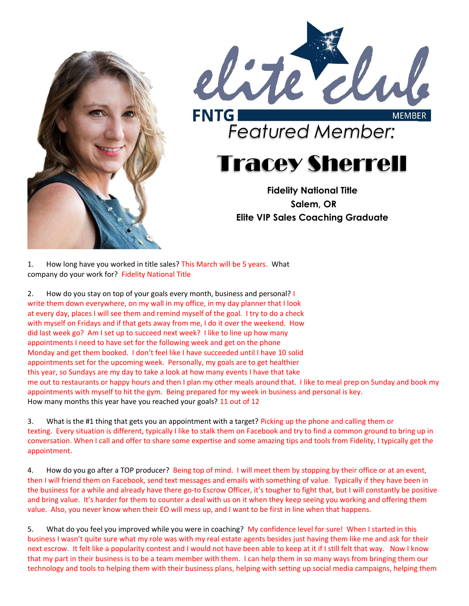



## Tracey Sherrell

Fidelity National Title Salem, OR Elite VIP Sales Coaching Graduate

1. How long have you worked in title sales? This March will be 5 years. What company do your work for? Fidelity National Title

2. How do you stay on top of your goals every month, business and personal? I write them down everywhere, on my wall in my office, in my day planner that I look at every day, places I will see them and remind myself of the goal. I try to do a check with myself on Fridays and if that gets away from me, I do it over the weekend. How did last week go? Am I set up to succeed next week? I like to line up how many appointments I need to have set for the following week and get on the phone Monday and get them booked. I don't feel like I have succeeded until I have 10 solid appointments set for the upcoming week. Personally, my goals are to get healthier this year, so Sundays are my day to take a look at how many events I have that take me out to restaurants or happy hours and then I plan my other meals around that. I like to meal prep on Sunday and book my appointments with myself to hit the gym. Being prepared for my week in business and personal is key. How many months this year have you reached your goals? 11 out of 12

3. What is the #1 thing that gets you an appointment with a target? Picking up the phone and calling them or texting. Every situation is different, typically I like to stalk them on Facebook and try to find a common ground to bring up in conversation. When I call and offer to share some expertise and some amazing tips and tools from Fidelity, I typically get the appointment.

4. How do you go after a TOP producer? Being top of mind. I will meet them by stopping by their office or at an event, then I will friend them on Facebook, send text messages and emails with something of value. Typically if they have been in the business for a while and already have there go-to Escrow Officer, it's tougher to fight that, but I will constantly be positive and bring value. It's harder for them to counter a deal with us on it when they keep seeing you working and offering them value. Also, you never know when their EO will mess up, and I want to be first in line when that happens.

5. What do you feel you improved while you were in coaching? My confidence level for sure! When I started in this business I wasn't quite sure what my role was with my real estate agents besides just having them like me and ask for their next escrow. It felt like a popularity contest and I would not have been able to keep at it if I still felt that way. Now I know that my part in their business is to be a team member with them. I can help them in so many ways from bringing them our technology and tools to helping them with their business plans, helping with setting up social media campaigns, helping them